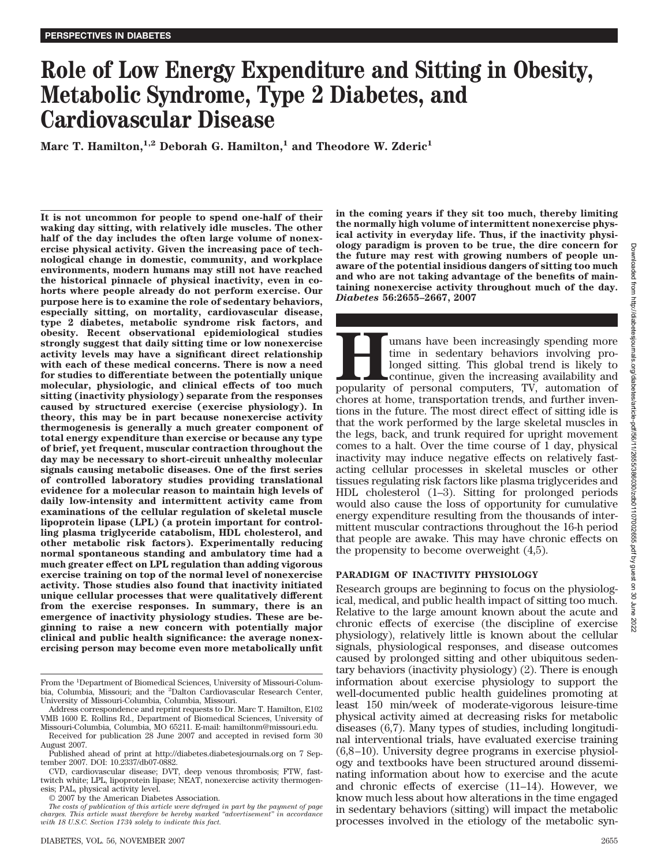# **Role of Low Energy Expenditure and Sitting in Obesity, Metabolic Syndrome, Type 2 Diabetes, and Cardiovascular Disease**

Marc T. Hamilton,<sup>1,2</sup> Deborah G. Hamilton,<sup>1</sup> and Theodore W. Zderic<sup>1</sup>

**It is not uncommon for people to spend one-half of their waking day sitting, with relatively idle muscles. The other half of the day includes the often large volume of nonexercise physical activity. Given the increasing pace of technological change in domestic, community, and workplace environments, modern humans may still not have reached the historical pinnacle of physical inactivity, even in cohorts where people already do not perform exercise. Our purpose here is to examine the role of sedentary behaviors, especially sitting, on mortality, cardiovascular disease, type 2 diabetes, metabolic syndrome risk factors, and obesity. Recent observational epidemiological studies strongly suggest that daily sitting time or low nonexercise activity levels may have a significant direct relationship with each of these medical concerns. There is now a need for studies to differentiate between the potentially unique molecular, physiologic, and clinical effects of too much sitting (inactivity physiology) separate from the responses caused by structured exercise (exercise physiology). In theory, this may be in part because nonexercise activity thermogenesis is generally a much greater component of total energy expenditure than exercise or because any type of brief, yet frequent, muscular contraction throughout the day may be necessary to short-circuit unhealthy molecular signals causing metabolic diseases. One of the first series of controlled laboratory studies providing translational evidence for a molecular reason to maintain high levels of daily low-intensity and intermittent activity came from examinations of the cellular regulation of skeletal muscle lipoprotein lipase (LPL) (a protein important for controlling plasma triglyceride catabolism, HDL cholesterol, and other metabolic risk factors). Experimentally reducing normal spontaneous standing and ambulatory time had a much greater effect on LPL regulation than adding vigorous exercise training on top of the normal level of nonexercise activity. Those studies also found that inactivity initiated unique cellular processes that were qualitatively different from the exercise responses. In summary, there is an emergence of inactivity physiology studies. These are beginning to raise a new concern with potentially major clinical and public health significance: the average nonexercising person may become even more metabolically unfit**

© 2007 by the American Diabetes Association.

**in the coming years if they sit too much, thereby limiting the normally high volume of intermittent nonexercise physical activity in everyday life. Thus, if the inactivity physiology paradigm is proven to be true, the dire concern for the future may rest with growing numbers of people unaware of the potential insidious dangers of sitting too much and who are not taking advantage of the benefits of maintaining nonexercise activity throughout much of the day.** *Diabetes* **56:2655–2667, 2007**

**Humans have been increasingly spending more**<br>time in sedentary behaviors involving pro-<br>longed sitting. This global trend is likely to<br>continue, given the increasing availability and<br>popularity of personal computers, TV, time in sedentary behaviors involving prolonged sitting. This global trend is likely to continue, given the increasing availability and chores at home, transportation trends, and further inventions in the future. The most direct effect of sitting idle is that the work performed by the large skeletal muscles in the legs, back, and trunk required for upright movement comes to a halt. Over the time course of 1 day, physical inactivity may induce negative effects on relatively fastacting cellular processes in skeletal muscles or other tissues regulating risk factors like plasma triglycerides and HDL cholesterol (1–3). Sitting for prolonged periods would also cause the loss of opportunity for cumulative energy expenditure resulting from the thousands of intermittent muscular contractions throughout the 16-h period that people are awake. This may have chronic effects on the propensity to become overweight (4,5).

### **PARADIGM OF INACTIVITY PHYSIOLOGY**

Research groups are beginning to focus on the physiological, medical, and public health impact of sitting too much. Relative to the large amount known about the acute and chronic effects of exercise (the discipline of exercise physiology), relatively little is known about the cellular signals, physiological responses, and disease outcomes caused by prolonged sitting and other ubiquitous sedentary behaviors (inactivity physiology) (2). There is enough information about exercise physiology to support the well-documented public health guidelines promoting at least 150 min/week of moderate-vigorous leisure-time physical activity aimed at decreasing risks for metabolic diseases (6,7). Many types of studies, including longitudinal interventional trials, have evaluated exercise training (6,8–10). University degree programs in exercise physiology and textbooks have been structured around disseminating information about how to exercise and the acute and chronic effects of exercise (11–14). However, we know much less about how alterations in the time engaged in sedentary behaviors (sitting) will impact the metabolic processes involved in the etiology of the metabolic syn-

From the <sup>1</sup>Department of Biomedical Sciences, University of Missouri-Columbia, Columbia, Missouri; and the <sup>2</sup>Dalton Cardiovascular Research Center, University of Missouri-Columbia, Columbia, Missouri.

Address correspondence and reprint requests to Dr. Marc T. Hamilton, E102 VMB 1600 E. Rollins Rd., Department of Biomedical Sciences, University of Missouri-Columbia, Columbia, MO 65211. E-mail: hamiltonm@missouri.edu.

Received for publication 28 June 2007 and accepted in revised form 30 August 2007.

Published ahead of print at http://diabetes.diabetesjournals.org on 7 September 2007. DOI: 10.2337/db07-0882.

CVD, cardiovascular disease; DVT, deep venous thrombosis; FTW, fasttwitch white; LPL, lipoprotein lipase; NEAT, nonexercise activity thermogenesis; PAL, physical activity level.

*The costs of publication of this article were defrayed in part by the payment of page charges. This article must therefore be hereby marked "advertisement" in accordance with 18 U.S.C. Section 1734 solely to indicate this fact.*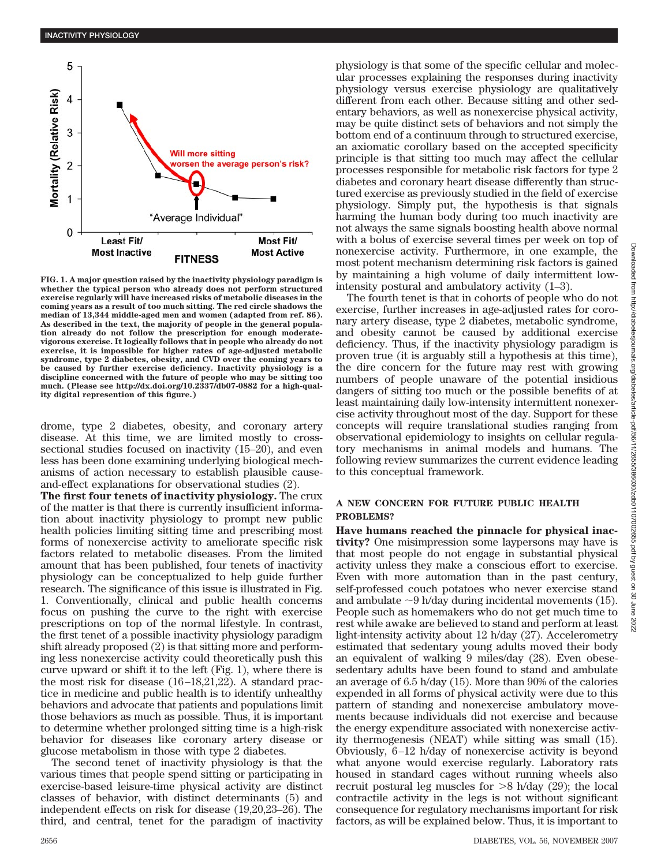

**FIG. 1. A major question raised by the inactivity physiology paradigm is whether the typical person who already does not perform structured exercise regularly will have increased risks of metabolic diseases in the coming years as a result of too much sitting. The red circle shadows the median of 13,344 middle-aged men and women (adapted from ref. 86). As described in the text, the majority of people in the general population already do not follow the prescription for enough moderatevigorous exercise. It logically follows that in people who already do not exercise, it is impossible for higher rates of age-adjusted metabolic syndrome, type 2 diabetes, obesity, and CVD over the coming years to be caused by further exercise deficiency. Inactivity physiology is a discipline concerned with the future of people who may be sitting too much. (Please see http://dx.doi.org/10.2337/db07-0882 for a high-quality digital represention of this figure.)**

drome, type 2 diabetes, obesity, and coronary artery disease. At this time, we are limited mostly to crosssectional studies focused on inactivity (15–20), and even less has been done examining underlying biological mechanisms of action necessary to establish plausible causeand-effect explanations for observational studies (2).

**The first four tenets of inactivity physiology.** The crux of the matter is that there is currently insufficient information about inactivity physiology to prompt new public health policies limiting sitting time and prescribing most forms of nonexercise activity to ameliorate specific risk factors related to metabolic diseases. From the limited amount that has been published, four tenets of inactivity physiology can be conceptualized to help guide further research. The significance of this issue is illustrated in Fig. 1. Conventionally, clinical and public health concerns focus on pushing the curve to the right with exercise prescriptions on top of the normal lifestyle. In contrast, the first tenet of a possible inactivity physiology paradigm shift already proposed (2) is that sitting more and performing less nonexercise activity could theoretically push this curve upward or shift it to the left (Fig. 1), where there is the most risk for disease (16–18,21,22). A standard practice in medicine and public health is to identify unhealthy behaviors and advocate that patients and populations limit those behaviors as much as possible. Thus, it is important to determine whether prolonged sitting time is a high-risk behavior for diseases like coronary artery disease or glucose metabolism in those with type 2 diabetes.

The second tenet of inactivity physiology is that the various times that people spend sitting or participating in exercise-based leisure-time physical activity are distinct classes of behavior, with distinct determinants (5) and independent effects on risk for disease (19,20,23–26). The third, and central, tenet for the paradigm of inactivity

physiology is that some of the specific cellular and molecular processes explaining the responses during inactivity physiology versus exercise physiology are qualitatively different from each other. Because sitting and other sedentary behaviors, as well as nonexercise physical activity, may be quite distinct sets of behaviors and not simply the bottom end of a continuum through to structured exercise, an axiomatic corollary based on the accepted specificity principle is that sitting too much may affect the cellular processes responsible for metabolic risk factors for type 2 diabetes and coronary heart disease differently than structured exercise as previously studied in the field of exercise physiology. Simply put, the hypothesis is that signals harming the human body during too much inactivity are not always the same signals boosting health above normal with a bolus of exercise several times per week on top of nonexercise activity. Furthermore, in one example, the most potent mechanism determining risk factors is gained by maintaining a high volume of daily intermittent lowintensity postural and ambulatory activity (1–3).

The fourth tenet is that in cohorts of people who do not exercise, further increases in age-adjusted rates for coronary artery disease, type 2 diabetes, metabolic syndrome, and obesity cannot be caused by additional exercise deficiency. Thus, if the inactivity physiology paradigm is proven true (it is arguably still a hypothesis at this time), the dire concern for the future may rest with growing numbers of people unaware of the potential insidious dangers of sitting too much or the possible benefits of at least maintaining daily low-intensity intermittent nonexercise activity throughout most of the day. Support for these concepts will require translational studies ranging from observational epidemiology to insights on cellular regulatory mechanisms in animal models and humans. The following review summarizes the current evidence leading to this conceptual framework.

## **A NEW CONCERN FOR FUTURE PUBLIC HEALTH PROBLEMS?**

**Have humans reached the pinnacle for physical inactivity?** One misimpression some laypersons may have is that most people do not engage in substantial physical activity unless they make a conscious effort to exercise. Even with more automation than in the past century, self-professed couch potatoes who never exercise stand and ambulate  $\sim$ 9 h/day during incidental movements (15). People such as homemakers who do not get much time to rest while awake are believed to stand and perform at least light-intensity activity about 12 h/day (27). Accelerometry estimated that sedentary young adults moved their body an equivalent of walking 9 miles/day (28). Even obesesedentary adults have been found to stand and ambulate an average of 6.5 h/day (15). More than 90% of the calories expended in all forms of physical activity were due to this pattern of standing and nonexercise ambulatory movements because individuals did not exercise and because the energy expenditure associated with nonexercise activity thermogenesis (NEAT) while sitting was small (15). Obviously, 6–12 h/day of nonexercise activity is beyond what anyone would exercise regularly. Laboratory rats housed in standard cages without running wheels also recruit postural leg muscles for  $>8$  h/day (29); the local contractile activity in the legs is not without significant consequence for regulatory mechanisms important for risk factors, as will be explained below. Thus, it is important to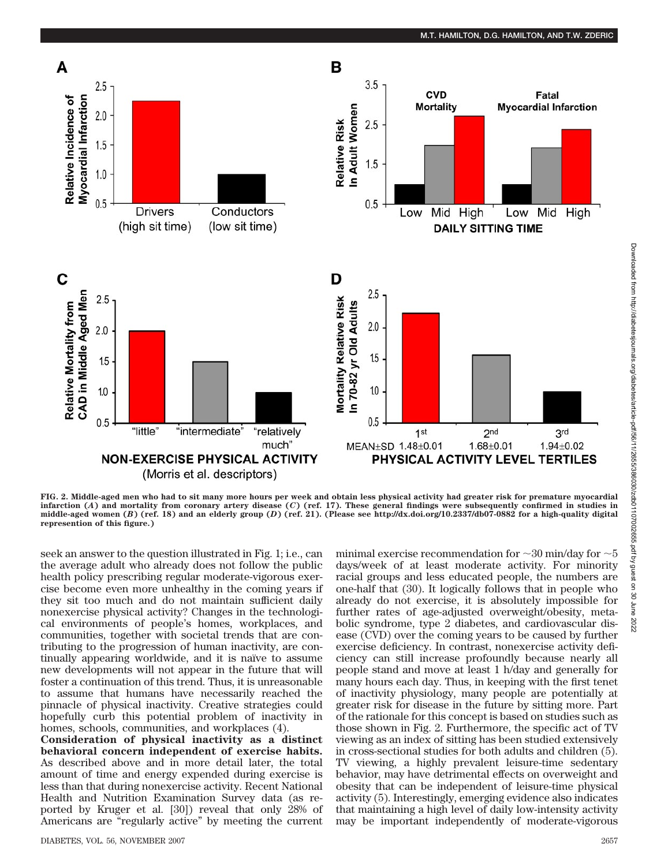

**FIG. 2. Middle-aged men who had to sit many more hours per week and obtain less physical activity had greater risk for premature myocardial infarction (***A***) and mortality from coronary artery disease (***C***) (ref. 17). These general findings were subsequently confirmed in studies in middle-aged women (***B***) (ref. 18) and an elderly group (***D***) (ref. 21). (Please see http://dx.doi.org/10.2337/db07-0882 for a high-quality digital represention of this figure.)**

seek an answer to the question illustrated in Fig. 1; i.e., can the average adult who already does not follow the public health policy prescribing regular moderate-vigorous exercise become even more unhealthy in the coming years if they sit too much and do not maintain sufficient daily nonexercise physical activity? Changes in the technological environments of people's homes, workplaces, and communities, together with societal trends that are contributing to the progression of human inactivity, are continually appearing worldwide, and it is naïve to assume new developments will not appear in the future that will foster a continuation of this trend. Thus, it is unreasonable to assume that humans have necessarily reached the pinnacle of physical inactivity. Creative strategies could hopefully curb this potential problem of inactivity in homes, schools, communities, and workplaces (4).

**Consideration of physical inactivity as a distinct behavioral concern independent of exercise habits.** As described above and in more detail later, the total amount of time and energy expended during exercise is less than that during nonexercise activity. Recent National Health and Nutrition Examination Survey data (as reported by Kruger et al. [30]) reveal that only 28% of Americans are "regularly active" by meeting the current minimal exercise recommendation for  $\sim$  30 min/day for  $\sim$  5 days/week of at least moderate activity. For minority racial groups and less educated people, the numbers are one-half that (30). It logically follows that in people who already do not exercise, it is absolutely impossible for further rates of age-adjusted overweight/obesity, metabolic syndrome, type 2 diabetes, and cardiovascular disease (CVD) over the coming years to be caused by further exercise deficiency. In contrast, nonexercise activity deficiency can still increase profoundly because nearly all people stand and move at least 1 h/day and generally for many hours each day. Thus, in keeping with the first tenet of inactivity physiology, many people are potentially at greater risk for disease in the future by sitting more. Part of the rationale for this concept is based on studies such as those shown in Fig. 2. Furthermore, the specific act of TV viewing as an index of sitting has been studied extensively in cross-sectional studies for both adults and children (5). TV viewing, a highly prevalent leisure-time sedentary behavior, may have detrimental effects on overweight and obesity that can be independent of leisure-time physical activity (5). Interestingly, emerging evidence also indicates that maintaining a high level of daily low-intensity activity may be important independently of moderate-vigorous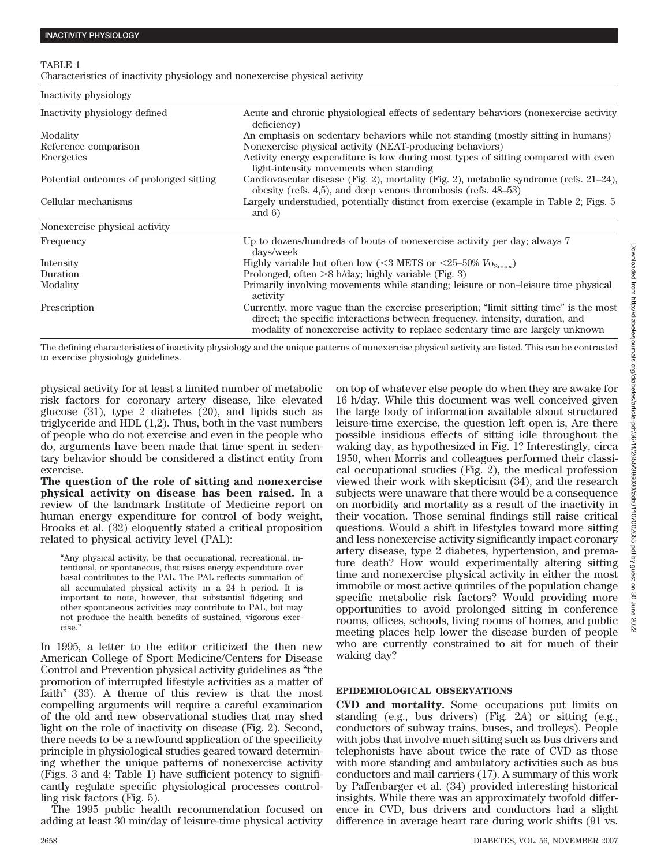#### TABLE 1

Characteristics of inactivity physiology and nonexercise physical activity

| Inactivity physiology                   |                                                                                                                                                                                                                                                           |  |
|-----------------------------------------|-----------------------------------------------------------------------------------------------------------------------------------------------------------------------------------------------------------------------------------------------------------|--|
| Inactivity physiology defined           | Acute and chronic physiological effects of sedentary behaviors (nonexercise activity<br>deficiency)                                                                                                                                                       |  |
| Modality                                | An emphasis on sedentary behaviors while not standing (mostly sitting in humans)                                                                                                                                                                          |  |
| Reference comparison                    | Nonexercise physical activity (NEAT-producing behaviors)                                                                                                                                                                                                  |  |
| Energetics                              | Activity energy expenditure is low during most types of sitting compared with even<br>light-intensity movements when standing                                                                                                                             |  |
| Potential outcomes of prolonged sitting | Cardiovascular disease (Fig. 2), mortality (Fig. 2), metabolic syndrome (refs. 21-24),<br>obesity (refs. 4,5), and deep venous thrombosis (refs. $48-53$ )                                                                                                |  |
| Cellular mechanisms                     | Largely understudied, potentially distinct from exercise (example in Table 2; Figs. 5)<br>and $6)$                                                                                                                                                        |  |
| Nonexercise physical activity           |                                                                                                                                                                                                                                                           |  |
| Frequency                               | Up to dozens/hundreds of bouts of nonexercise activity per day; always 7<br>days/week                                                                                                                                                                     |  |
| Intensity                               | Highly variable but often low (<3 METS or <25-50% $V_{\text{O}_{2\text{max}}}$ )                                                                                                                                                                          |  |
| Duration                                | Prolonged, often $>8$ h/day; highly variable (Fig. 3)                                                                                                                                                                                                     |  |
| Modality                                | Primarily involving movements while standing; leisure or non-leisure time physical<br>activity                                                                                                                                                            |  |
| Prescription                            | Currently, more vague than the exercise prescription; "limit sitting time" is the most<br>direct; the specific interactions between frequency, intensity, duration, and<br>modality of nonexercise activity to replace sedentary time are largely unknown |  |

The defining characteristics of inactivity physiology and the unique patterns of nonexercise physical activity are listed. This can be contrasted to exercise physiology guidelines.

physical activity for at least a limited number of metabolic risk factors for coronary artery disease, like elevated glucose (31), type 2 diabetes (20), and lipids such as triglyceride and HDL (1,2). Thus, both in the vast numbers of people who do not exercise and even in the people who do, arguments have been made that time spent in sedentary behavior should be considered a distinct entity from exercise.

**The question of the role of sitting and nonexercise physical activity on disease has been raised.** In a review of the landmark Institute of Medicine report on human energy expenditure for control of body weight, Brooks et al. (32) eloquently stated a critical proposition related to physical activity level (PAL):

"Any physical activity, be that occupational, recreational, intentional, or spontaneous, that raises energy expenditure over basal contributes to the PAL. The PAL reflects summation of all accumulated physical activity in a 24 h period. It is important to note, however, that substantial fidgeting and other spontaneous activities may contribute to PAL, but may not produce the health benefits of sustained, vigorous exercise."

In 1995, a letter to the editor criticized the then new American College of Sport Medicine/Centers for Disease Control and Prevention physical activity guidelines as "the promotion of interrupted lifestyle activities as a matter of faith" (33). A theme of this review is that the most compelling arguments will require a careful examination of the old and new observational studies that may shed light on the role of inactivity on disease (Fig. 2). Second, there needs to be a newfound application of the specificity principle in physiological studies geared toward determining whether the unique patterns of nonexercise activity (Figs. 3 and 4; Table 1) have sufficient potency to significantly regulate specific physiological processes controlling risk factors (Fig. 5).

The 1995 public health recommendation focused on adding at least 30 min/day of leisure-time physical activity on top of whatever else people do when they are awake for 16 h/day. While this document was well conceived given the large body of information available about structured leisure-time exercise, the question left open is, Are there possible insidious effects of sitting idle throughout the waking day, as hypothesized in Fig. 1? Interestingly, circa 1950, when Morris and colleagues performed their classical occupational studies (Fig. 2), the medical profession viewed their work with skepticism (34), and the research subjects were unaware that there would be a consequence on morbidity and mortality as a result of the inactivity in their vocation. Those seminal findings still raise critical questions. Would a shift in lifestyles toward more sitting and less nonexercise activity significantly impact coronary artery disease, type 2 diabetes, hypertension, and premature death? How would experimentally altering sitting time and nonexercise physical activity in either the most immobile or most active quintiles of the population change specific metabolic risk factors? Would providing more opportunities to avoid prolonged sitting in conference rooms, offices, schools, living rooms of homes, and public meeting places help lower the disease burden of people who are currently constrained to sit for much of their waking day?

## **EPIDEMIOLOGICAL OBSERVATIONS**

**CVD and mortality.** Some occupations put limits on standing (e.g., bus drivers) (Fig. 2*A*) or sitting (e.g., conductors of subway trains, buses, and trolleys). People with jobs that involve much sitting such as bus drivers and telephonists have about twice the rate of CVD as those with more standing and ambulatory activities such as bus conductors and mail carriers (17). A summary of this work by Paffenbarger et al. (34) provided interesting historical insights. While there was an approximately twofold difference in CVD, bus drivers and conductors had a slight difference in average heart rate during work shifts (91 vs.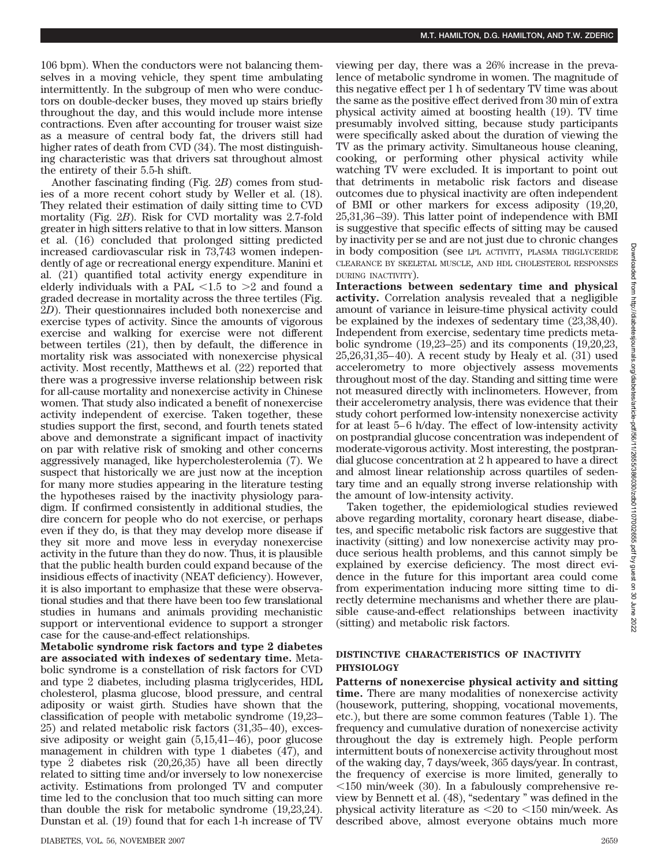106 bpm). When the conductors were not balancing themselves in a moving vehicle, they spent time ambulating intermittently. In the subgroup of men who were conductors on double-decker buses, they moved up stairs briefly throughout the day, and this would include more intense contractions. Even after accounting for trouser waist size as a measure of central body fat, the drivers still had higher rates of death from CVD (34). The most distinguishing characteristic was that drivers sat throughout almost the entirety of their 5.5-h shift.

Another fascinating finding (Fig. 2*B*) comes from studies of a more recent cohort study by Weller et al. (18). They related their estimation of daily sitting time to CVD mortality (Fig. 2*B*). Risk for CVD mortality was 2.7-fold greater in high sitters relative to that in low sitters. Manson et al. (16) concluded that prolonged sitting predicted increased cardiovascular risk in 73,743 women independently of age or recreational energy expenditure. Manini et al. (21) quantified total activity energy expenditure in elderly individuals with a PAL  $\langle 1.5 \text{ to } > 2 \text{ and found a}$ graded decrease in mortality across the three tertiles (Fig. 2*D*). Their questionnaires included both nonexercise and exercise types of activity. Since the amounts of vigorous exercise and walking for exercise were not different between tertiles (21), then by default, the difference in mortality risk was associated with nonexercise physical activity. Most recently, Matthews et al. (22) reported that there was a progressive inverse relationship between risk for all-cause mortality and nonexercise activity in Chinese women. That study also indicated a benefit of nonexercise activity independent of exercise. Taken together, these studies support the first, second, and fourth tenets stated above and demonstrate a significant impact of inactivity on par with relative risk of smoking and other concerns aggressively managed, like hypercholesterolemia (7). We suspect that historically we are just now at the inception for many more studies appearing in the literature testing the hypotheses raised by the inactivity physiology paradigm. If confirmed consistently in additional studies, the dire concern for people who do not exercise, or perhaps even if they do, is that they may develop more disease if they sit more and move less in everyday nonexercise activity in the future than they do now. Thus, it is plausible that the public health burden could expand because of the insidious effects of inactivity (NEAT deficiency). However, it is also important to emphasize that these were observational studies and that there have been too few translational studies in humans and animals providing mechanistic support or interventional evidence to support a stronger case for the cause-and-effect relationships.

**Metabolic syndrome risk factors and type 2 diabetes are associated with indexes of sedentary time.** Metabolic syndrome is a constellation of risk factors for CVD and type 2 diabetes, including plasma triglycerides, HDL cholesterol, plasma glucose, blood pressure, and central adiposity or waist girth. Studies have shown that the classification of people with metabolic syndrome (19,23– 25) and related metabolic risk factors (31,35–40), excessive adiposity or weight gain (5,15,41–46), poor glucose management in children with type 1 diabetes (47), and type 2 diabetes risk (20,26,35) have all been directly related to sitting time and/or inversely to low nonexercise activity. Estimations from prolonged TV and computer time led to the conclusion that too much sitting can more than double the risk for metabolic syndrome (19,23,24). Dunstan et al. (19) found that for each 1-h increase of TV

viewing per day, there was a 26% increase in the prevalence of metabolic syndrome in women. The magnitude of this negative effect per 1 h of sedentary TV time was about the same as the positive effect derived from 30 min of extra physical activity aimed at boosting health (19). TV time presumably involved sitting, because study participants were specifically asked about the duration of viewing the TV as the primary activity. Simultaneous house cleaning, cooking, or performing other physical activity while watching TV were excluded. It is important to point out that detriments in metabolic risk factors and disease outcomes due to physical inactivity are often independent of BMI or other markers for excess adiposity (19,20, 25,31,36–39). This latter point of independence with BMI is suggestive that specific effects of sitting may be caused by inactivity per se and are not just due to chronic changes in body composition (see LPL ACTIVITY, PLASMA TRIGLYCERIDE CLEARANCE BY SKELETAL MUSCLE, AND HDL CHOLESTEROL RESPONSES DURING INACTIVITY).

**Interactions between sedentary time and physical activity.** Correlation analysis revealed that a negligible amount of variance in leisure-time physical activity could be explained by the indexes of sedentary time (23,38,40). Independent from exercise, sedentary time predicts metabolic syndrome (19,23–25) and its components (19,20,23, 25,26,31,35–40). A recent study by Healy et al. (31) used accelerometry to more objectively assess movements throughout most of the day. Standing and sitting time were not measured directly with inclinometers. However, from their accelerometry analysis, there was evidence that their study cohort performed low-intensity nonexercise activity for at least 5–6 h/day. The effect of low-intensity activity on postprandial glucose concentration was independent of moderate-vigorous activity. Most interesting, the postprandial glucose concentration at 2 h appeared to have a direct and almost linear relationship across quartiles of sedentary time and an equally strong inverse relationship with the amount of low-intensity activity.

Taken together, the epidemiological studies reviewed above regarding mortality, coronary heart disease, diabetes, and specific metabolic risk factors are suggestive that inactivity (sitting) and low nonexercise activity may produce serious health problems, and this cannot simply be explained by exercise deficiency. The most direct evidence in the future for this important area could come from experimentation inducing more sitting time to directly determine mechanisms and whether there are plausible cause-and-effect relationships between inactivity (sitting) and metabolic risk factors.

## **DISTINCTIVE CHARACTERISTICS OF INACTIVITY PHYSIOLOGY**

**Patterns of nonexercise physical activity and sitting time.** There are many modalities of nonexercise activity (housework, puttering, shopping, vocational movements, etc.), but there are some common features (Table 1). The frequency and cumulative duration of nonexercise activity throughout the day is extremely high. People perform intermittent bouts of nonexercise activity throughout most of the waking day, 7 days/week, 365 days/year. In contrast, the frequency of exercise is more limited, generally to  $150$  min/week (30). In a fabulously comprehensive review by Bennett et al. (48), "sedentary " was defined in the physical activity literature as  $\langle 20 \rangle$  to  $\langle 150 \rangle$  min/week. As described above, almost everyone obtains much more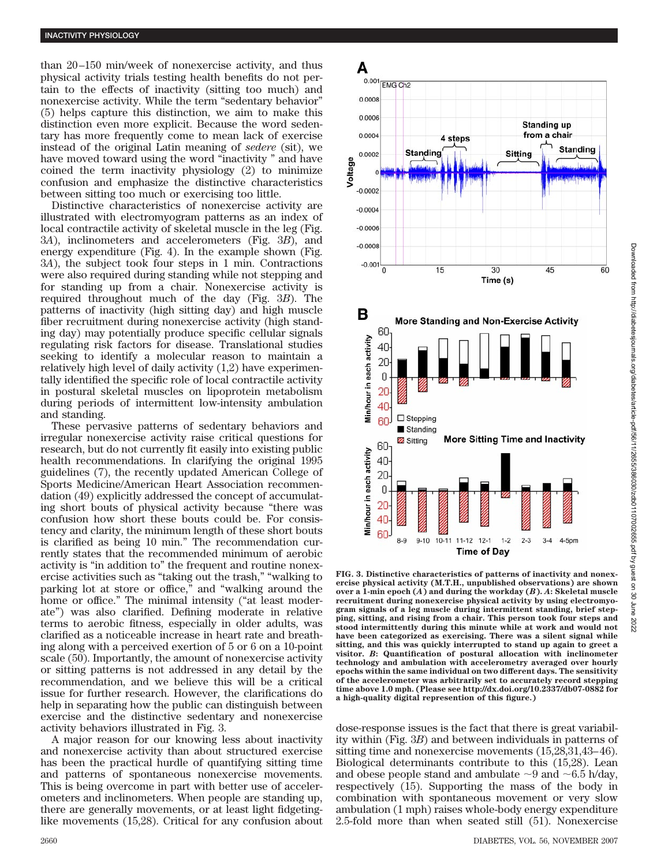than 20–150 min/week of nonexercise activity, and thus physical activity trials testing health benefits do not pertain to the effects of inactivity (sitting too much) and nonexercise activity. While the term "sedentary behavior" (5) helps capture this distinction, we aim to make this distinction even more explicit. Because the word sedentary has more frequently come to mean lack of exercise instead of the original Latin meaning of *sedere* (sit), we have moved toward using the word "inactivity " and have coined the term inactivity physiology (2) to minimize confusion and emphasize the distinctive characteristics between sitting too much or exercising too little.

Distinctive characteristics of nonexercise activity are illustrated with electromyogram patterns as an index of local contractile activity of skeletal muscle in the leg (Fig. 3*A*), inclinometers and accelerometers (Fig. 3*B*), and energy expenditure (Fig. 4). In the example shown (Fig. 3*A*), the subject took four steps in 1 min. Contractions were also required during standing while not stepping and for standing up from a chair. Nonexercise activity is required throughout much of the day (Fig. 3*B*). The patterns of inactivity (high sitting day) and high muscle fiber recruitment during nonexercise activity (high standing day) may potentially produce specific cellular signals regulating risk factors for disease. Translational studies seeking to identify a molecular reason to maintain a relatively high level of daily activity (1,2) have experimentally identified the specific role of local contractile activity in postural skeletal muscles on lipoprotein metabolism during periods of intermittent low-intensity ambulation and standing.

These pervasive patterns of sedentary behaviors and irregular nonexercise activity raise critical questions for research, but do not currently fit easily into existing public health recommendations. In clarifying the original 1995 guidelines (7), the recently updated American College of Sports Medicine/American Heart Association recommendation (49) explicitly addressed the concept of accumulating short bouts of physical activity because "there was confusion how short these bouts could be. For consistency and clarity, the minimum length of these short bouts is clarified as being 10 min." The recommendation currently states that the recommended minimum of aerobic activity is "in addition to" the frequent and routine nonexercise activities such as "taking out the trash," "walking to parking lot at store or office," and "walking around the home or office." The minimal intensity ("at least moderate") was also clarified. Defining moderate in relative terms to aerobic fitness, especially in older adults, was clarified as a noticeable increase in heart rate and breathing along with a perceived exertion of 5 or 6 on a 10-point scale (50). Importantly, the amount of nonexercise activity or sitting patterns is not addressed in any detail by the recommendation, and we believe this will be a critical issue for further research. However, the clarifications do help in separating how the public can distinguish between exercise and the distinctive sedentary and nonexercise activity behaviors illustrated in Fig. 3.

A major reason for our knowing less about inactivity and nonexercise activity than about structured exercise has been the practical hurdle of quantifying sitting time and patterns of spontaneous nonexercise movements. This is being overcome in part with better use of accelerometers and inclinometers. When people are standing up, there are generally movements, or at least light fidgetinglike movements (15,28). Critical for any confusion about



A

 $0.001$  EMG Ch<sub>2</sub>

**FIG. 3. Distinctive characteristics of patterns of inactivity and nonexercise physical activity (M.T.H., unpublished observations) are shown over a 1-min epoch (***A***) and during the workday (***B***).** *A***: Skeletal muscle recruitment during nonexercise physical activity by using electromyogram signals of a leg muscle during intermittent standing, brief stepping, sitting, and rising from a chair. This person took four steps and stood intermittently during this minute while at work and would not have been categorized as exercising. There was a silent signal while sitting, and this was quickly interrupted to stand up again to greet a visitor.** *B***: Quantification of postural allocation with inclinometer technology and ambulation with accelerometry averaged over hourly epochs within the same individual on two different days. The sensitivity of the accelerometer was arbitrarily set to accurately record stepping time above 1.0 mph. (Please see http://dx.doi.org/10.2337/db07-0882 for a high-quality digital represention of this figure.)**

dose-response issues is the fact that there is great variability within (Fig. 3*B*) and between individuals in patterns of sitting time and nonexercise movements (15,28,31,43–46). Biological determinants contribute to this (15,28). Lean and obese people stand and ambulate  $\sim$ 9 and  $\sim$ 6.5 h/day, respectively (15). Supporting the mass of the body in combination with spontaneous movement or very slow ambulation (1 mph) raises whole-body energy expenditure 2.5-fold more than when seated still (51). Nonexercise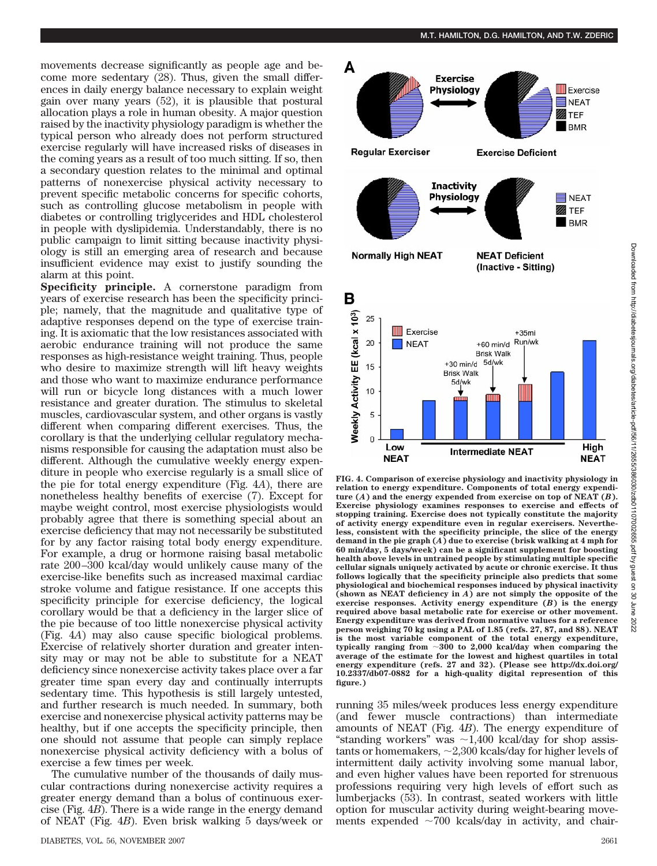movements decrease significantly as people age and become more sedentary (28). Thus, given the small differences in daily energy balance necessary to explain weight gain over many years (52), it is plausible that postural allocation plays a role in human obesity. A major question raised by the inactivity physiology paradigm is whether the typical person who already does not perform structured exercise regularly will have increased risks of diseases in the coming years as a result of too much sitting. If so, then a secondary question relates to the minimal and optimal patterns of nonexercise physical activity necessary to prevent specific metabolic concerns for specific cohorts, such as controlling glucose metabolism in people with diabetes or controlling triglycerides and HDL cholesterol in people with dyslipidemia. Understandably, there is no public campaign to limit sitting because inactivity physiology is still an emerging area of research and because

insufficient evidence may exist to justify sounding the

alarm at this point. **Specificity principle.** A cornerstone paradigm from years of exercise research has been the specificity principle; namely, that the magnitude and qualitative type of adaptive responses depend on the type of exercise training. It is axiomatic that the low resistances associated with aerobic endurance training will not produce the same responses as high-resistance weight training. Thus, people who desire to maximize strength will lift heavy weights and those who want to maximize endurance performance will run or bicycle long distances with a much lower resistance and greater duration. The stimulus to skeletal muscles, cardiovascular system, and other organs is vastly different when comparing different exercises. Thus, the corollary is that the underlying cellular regulatory mechanisms responsible for causing the adaptation must also be different. Although the cumulative weekly energy expenditure in people who exercise regularly is a small slice of the pie for total energy expenditure (Fig. 4*A*), there are nonetheless healthy benefits of exercise (7). Except for maybe weight control, most exercise physiologists would probably agree that there is something special about an exercise deficiency that may not necessarily be substituted for by any factor raising total body energy expenditure. For example, a drug or hormone raising basal metabolic rate 200–300 kcal/day would unlikely cause many of the exercise-like benefits such as increased maximal cardiac stroke volume and fatigue resistance. If one accepts this specificity principle for exercise deficiency, the logical corollary would be that a deficiency in the larger slice of the pie because of too little nonexercise physical activity (Fig. 4*A*) may also cause specific biological problems. Exercise of relatively shorter duration and greater intensity may or may not be able to substitute for a NEAT deficiency since nonexercise activity takes place over a far greater time span every day and continually interrupts sedentary time. This hypothesis is still largely untested, and further research is much needed. In summary, both exercise and nonexercise physical activity patterns may be healthy, but if one accepts the specificity principle, then one should not assume that people can simply replace nonexercise physical activity deficiency with a bolus of exercise a few times per week.

The cumulative number of the thousands of daily muscular contractions during nonexercise activity requires a greater energy demand than a bolus of continuous exercise (Fig. 4*B*). There is a wide range in the energy demand of NEAT (Fig. 4*B*). Even brisk walking 5 days/week or



**FIG. 4. Comparison of exercise physiology and inactivity physiology in relation to energy expenditure. Components of total energy expenditure (***A***) and the energy expended from exercise on top of NEAT (***B***). Exercise physiology examines responses to exercise and effects of stopping training. Exercise does not typically constitute the majority of activity energy expenditure even in regular exercisers. Nevertheless, consistent with the specificity principle, the slice of the energy demand in the pie graph (***A***) due to exercise (brisk walking at 4 mph for 60 min/day, 5 days/week) can be a significant supplement for boosting health above levels in untrained people by stimulating multiple specific cellular signals uniquely activated by acute or chronic exercise. It thus follows logically that the specificity principle also predicts that some physiological and biochemical responses induced by physical inactivity (shown as NEAT deficiency in** *A***) are not simply the opposite of the exercise responses. Activity energy expenditure (***B***) is the energy required above basal metabolic rate for exercise or other movement. Energy expenditure was derived from normative values for a reference person weighing 70 kg using a PAL of 1.85 (refs. 27, 87, and 88). NEAT is the most variable component of the total energy expenditure,** typically ranging from  $\sim 300$  to 2,000 kcal/day when comparing the **average of the estimate for the lowest and highest quartiles in total energy expenditure (refs. 27 and 32). (Please see http://dx.doi.org/ 10.2337/db07-0882 for a high-quality digital represention of this figure.)**

running 35 miles/week produces less energy expenditure (and fewer muscle contractions) than intermediate amounts of NEAT (Fig. 4*B*). The energy expenditure of "standing workers" was  $\sim$ 1,400 kcal/day for shop assistants or homemakers,  $\sim$  2,300 kcals/day for higher levels of intermittent daily activity involving some manual labor, and even higher values have been reported for strenuous professions requiring very high levels of effort such as lumberjacks (53). In contrast, seated workers with little option for muscular activity during weight-bearing movements expended  $\sim$ 700 kcals/day in activity, and chair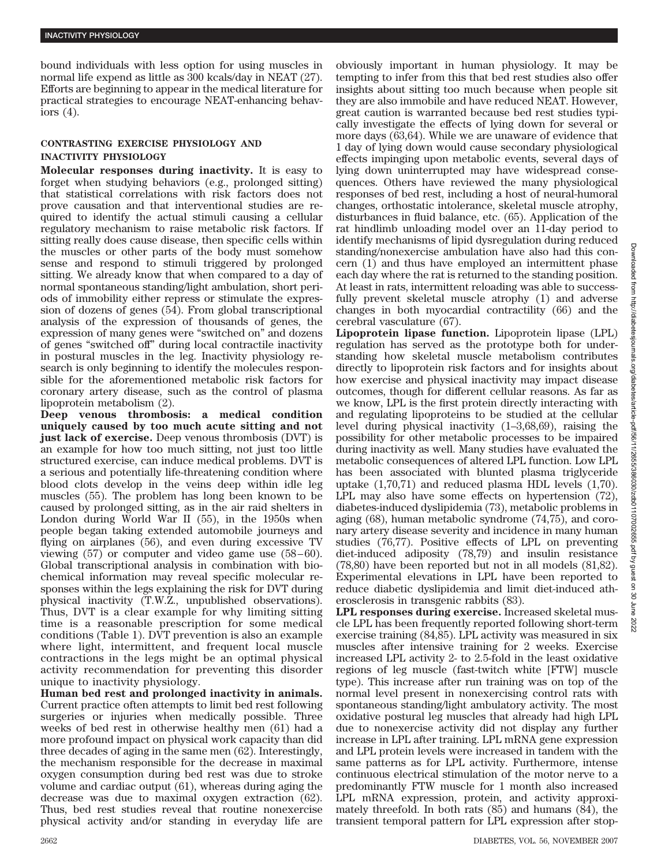bound individuals with less option for using muscles in normal life expend as little as 300 kcals/day in NEAT (27). Efforts are beginning to appear in the medical literature for practical strategies to encourage NEAT-enhancing behaviors (4).

## **CONTRASTING EXERCISE PHYSIOLOGY AND INACTIVITY PHYSIOLOGY**

**Molecular responses during inactivity.** It is easy to forget when studying behaviors (e.g., prolonged sitting) that statistical correlations with risk factors does not prove causation and that interventional studies are required to identify the actual stimuli causing a cellular regulatory mechanism to raise metabolic risk factors. If sitting really does cause disease, then specific cells within the muscles or other parts of the body must somehow sense and respond to stimuli triggered by prolonged sitting. We already know that when compared to a day of normal spontaneous standing/light ambulation, short periods of immobility either repress or stimulate the expression of dozens of genes (54). From global transcriptional analysis of the expression of thousands of genes, the expression of many genes were "switched on" and dozens of genes "switched off" during local contractile inactivity in postural muscles in the leg. Inactivity physiology research is only beginning to identify the molecules responsible for the aforementioned metabolic risk factors for coronary artery disease, such as the control of plasma lipoprotein metabolism (2).

**Deep venous thrombosis: a medical condition uniquely caused by too much acute sitting and not just lack of exercise.** Deep venous thrombosis (DVT) is an example for how too much sitting, not just too little structured exercise, can induce medical problems. DVT is a serious and potentially life-threatening condition where blood clots develop in the veins deep within idle leg muscles (55). The problem has long been known to be caused by prolonged sitting, as in the air raid shelters in London during World War II (55), in the 1950s when people began taking extended automobile journeys and flying on airplanes (56), and even during excessive TV viewing (57) or computer and video game use (58–60). Global transcriptional analysis in combination with biochemical information may reveal specific molecular responses within the legs explaining the risk for DVT during physical inactivity (T.W.Z., unpublished observations). Thus, DVT is a clear example for why limiting sitting time is a reasonable prescription for some medical conditions (Table 1). DVT prevention is also an example where light, intermittent, and frequent local muscle contractions in the legs might be an optimal physical activity recommendation for preventing this disorder unique to inactivity physiology.

**Human bed rest and prolonged inactivity in animals.** Current practice often attempts to limit bed rest following surgeries or injuries when medically possible. Three weeks of bed rest in otherwise healthy men (61) had a more profound impact on physical work capacity than did three decades of aging in the same men (62). Interestingly, the mechanism responsible for the decrease in maximal oxygen consumption during bed rest was due to stroke volume and cardiac output (61), whereas during aging the decrease was due to maximal oxygen extraction (62). Thus, bed rest studies reveal that routine nonexercise physical activity and/or standing in everyday life are

obviously important in human physiology. It may be tempting to infer from this that bed rest studies also offer insights about sitting too much because when people sit they are also immobile and have reduced NEAT. However, great caution is warranted because bed rest studies typically investigate the effects of lying down for several or more days (63,64). While we are unaware of evidence that 1 day of lying down would cause secondary physiological effects impinging upon metabolic events, several days of lying down uninterrupted may have widespread consequences. Others have reviewed the many physiological responses of bed rest, including a host of neural-humoral changes, orthostatic intolerance, skeletal muscle atrophy, disturbances in fluid balance, etc. (65). Application of the rat hindlimb unloading model over an 11-day period to identify mechanisms of lipid dysregulation during reduced standing/nonexercise ambulation have also had this concern (1) and thus have employed an intermittent phase each day where the rat is returned to the standing position. At least in rats, intermittent reloading was able to successfully prevent skeletal muscle atrophy (1) and adverse changes in both myocardial contractility (66) and the cerebral vasculature (67).

**Lipoprotein lipase function.** Lipoprotein lipase (LPL) regulation has served as the prototype both for understanding how skeletal muscle metabolism contributes directly to lipoprotein risk factors and for insights about how exercise and physical inactivity may impact disease outcomes, though for different cellular reasons. As far as we know, LPL is the first protein directly interacting with and regulating lipoproteins to be studied at the cellular level during physical inactivity (1–3,68,69), raising the possibility for other metabolic processes to be impaired during inactivity as well. Many studies have evaluated the metabolic consequences of altered LPL function. Low LPL has been associated with blunted plasma triglyceride uptake (1,70,71) and reduced plasma HDL levels (1,70). LPL may also have some effects on hypertension (72), diabetes-induced dyslipidemia (73), metabolic problems in aging (68), human metabolic syndrome (74,75), and coronary artery disease severity and incidence in many human studies (76,77). Positive effects of LPL on preventing diet-induced adiposity (78,79) and insulin resistance (78,80) have been reported but not in all models (81,82). Experimental elevations in LPL have been reported to reduce diabetic dyslipidemia and limit diet-induced atherosclerosis in transgenic rabbits (83).

**LPL responses during exercise.** Increased skeletal muscle LPL has been frequently reported following short-term exercise training (84,85). LPL activity was measured in six muscles after intensive training for 2 weeks. Exercise increased LPL activity 2- to 2.5-fold in the least oxidative regions of leg muscle (fast-twitch white [FTW] muscle type). This increase after run training was on top of the normal level present in nonexercising control rats with spontaneous standing/light ambulatory activity. The most oxidative postural leg muscles that already had high LPL due to nonexercise activity did not display any further increase in LPL after training. LPL mRNA gene expression and LPL protein levels were increased in tandem with the same patterns as for LPL activity. Furthermore, intense continuous electrical stimulation of the motor nerve to a predominantly FTW muscle for 1 month also increased LPL mRNA expression, protein, and activity approximately threefold. In both rats (85) and humans (84), the transient temporal pattern for LPL expression after stop-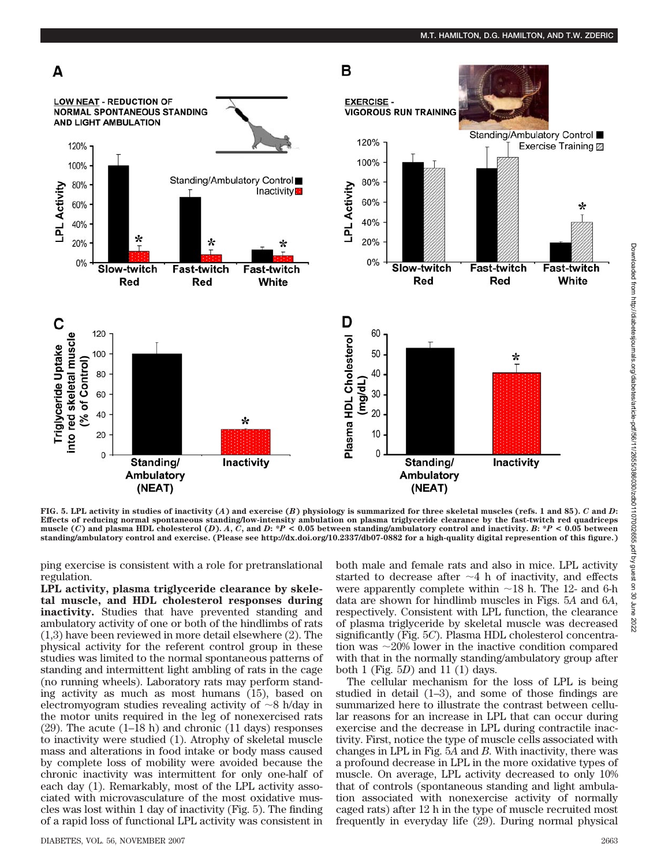

**FIG. 5. LPL activity in studies of inactivity (***A***) and exercise (***B***) physiology is summarized for three skeletal muscles (refs. 1 and 85).** *C* **and** *D***: Effects of reducing normal spontaneous standing/low-intensity ambulation on plasma triglyceride clearance by the fast-twitch red quadriceps** muscle (C) and plasma HDL cholesterol (D). A, C, and D: \*P < 0.05 between standing/ambulatory control and inactivity. B: \*P < 0.05 between **standing/ambulatory control and exercise. (Please see http://dx.doi.org/10.2337/db07-0882 for a high-quality digital represention of this figure.)**

ping exercise is consistent with a role for pretranslational regulation.

**LPL activity, plasma triglyceride clearance by skeletal muscle, and HDL cholesterol responses during inactivity.** Studies that have prevented standing and ambulatory activity of one or both of the hindlimbs of rats (1,3) have been reviewed in more detail elsewhere (2). The physical activity for the referent control group in these studies was limited to the normal spontaneous patterns of standing and intermittent light ambling of rats in the cage (no running wheels). Laboratory rats may perform standing activity as much as most humans (15), based on electromyogram studies revealing activity of  $\sim$ 8 h/day in the motor units required in the leg of nonexercised rats (29). The acute (1–18 h) and chronic (11 days) responses to inactivity were studied (1). Atrophy of skeletal muscle mass and alterations in food intake or body mass caused by complete loss of mobility were avoided because the chronic inactivity was intermittent for only one-half of each day (1). Remarkably, most of the LPL activity associated with microvasculature of the most oxidative muscles was lost within 1 day of inactivity (Fig. 5). The finding of a rapid loss of functional LPL activity was consistent in both male and female rats and also in mice. LPL activity started to decrease after  $\sim$ 4 h of inactivity, and effects were apparently complete within  $\sim$  18 h. The 12- and 6-h data are shown for hindlimb muscles in Figs. 5*A* and 6*A*, respectively. Consistent with LPL function, the clearance of plasma triglyceride by skeletal muscle was decreased significantly (Fig. 5*C*). Plasma HDL cholesterol concentration was  $\sim$ 20% lower in the inactive condition compared with that in the normally standing/ambulatory group after both 1 (Fig. 5*D*) and 11 (1) days.

The cellular mechanism for the loss of LPL is being studied in detail (1–3), and some of those findings are summarized here to illustrate the contrast between cellular reasons for an increase in LPL that can occur during exercise and the decrease in LPL during contractile inactivity. First, notice the type of muscle cells associated with changes in LPL in Fig. 5*A* and *B*. With inactivity, there was a profound decrease in LPL in the more oxidative types of muscle. On average, LPL activity decreased to only 10% that of controls (spontaneous standing and light ambulation associated with nonexercise activity of normally caged rats) after 12 h in the type of muscle recruited most frequently in everyday life (29). During normal physical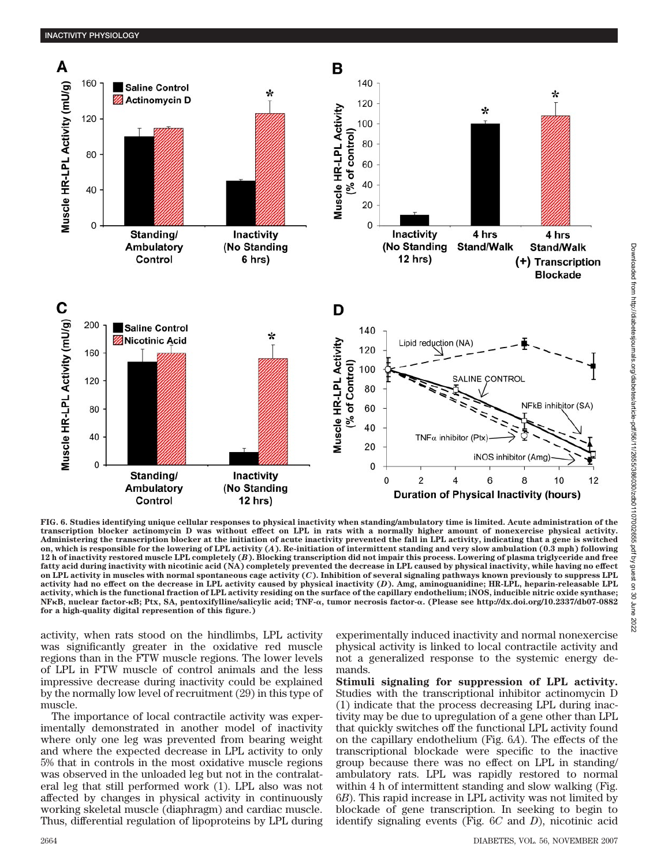

**FIG. 6. Studies identifying unique cellular responses to physical inactivity when standing/ambulatory time is limited. Acute administration of the transcription blocker actinomycin D was without effect on LPL in rats with a normally higher amount of nonexercise physical activity. Administering the transcription blocker at the initiation of acute inactivity prevented the fall in LPL activity, indicating that a gene is switched on, which is responsible for the lowering of LPL activity (***A***). Re-initiation of intermittent standing and very slow ambulation (0.3 mph) following 12 h of inactivity restored muscle LPL completely (***B***). Blocking transcription did not impair this process. Lowering of plasma triglyceride and free fatty acid during inactivity with nicotinic acid (NA) completely prevented the decrease in LPL caused by physical inactivity, while having no effect on LPL activity in muscles with normal spontaneous cage activity (***C***). Inhibition of several signaling pathways known previously to suppress LPL activity had no effect on the decrease in LPL activity caused by physical inactivity (***D***). Amg, aminoguanidine; HR-LPL, heparin-releasable LPL activity, which is the functional fraction of LPL activity residing on the surface of the capillary endothelium; iNOS, inducible nitric oxide synthase; NFB, nuclear factor-B; Ptx, SA, pentoxifylline/salicylic acid; TNF-**-**, tumor necrosis factor-**-**. (Please see http://dx.doi.org/10.2337/db07-0882 for a high-quality digital represention of this figure.)**

activity, when rats stood on the hindlimbs, LPL activity was significantly greater in the oxidative red muscle regions than in the FTW muscle regions. The lower levels of LPL in FTW muscle of control animals and the less impressive decrease during inactivity could be explained by the normally low level of recruitment (29) in this type of muscle.

The importance of local contractile activity was experimentally demonstrated in another model of inactivity where only one leg was prevented from bearing weight and where the expected decrease in LPL activity to only 5% that in controls in the most oxidative muscle regions was observed in the unloaded leg but not in the contralateral leg that still performed work (1). LPL also was not affected by changes in physical activity in continuously working skeletal muscle (diaphragm) and cardiac muscle. Thus, differential regulation of lipoproteins by LPL during experimentally induced inactivity and normal nonexercise physical activity is linked to local contractile activity and not a generalized response to the systemic energy demands.

**Stimuli signaling for suppression of LPL activity.** Studies with the transcriptional inhibitor actinomycin D (1) indicate that the process decreasing LPL during inactivity may be due to upregulation of a gene other than LPL that quickly switches off the functional LPL activity found on the capillary endothelium (Fig. 6*A*). The effects of the transcriptional blockade were specific to the inactive group because there was no effect on LPL in standing/ ambulatory rats. LPL was rapidly restored to normal within 4 h of intermittent standing and slow walking (Fig. 6*B*). This rapid increase in LPL activity was not limited by blockade of gene transcription. In seeking to begin to identify signaling events (Fig. 6*C* and *D*), nicotinic acid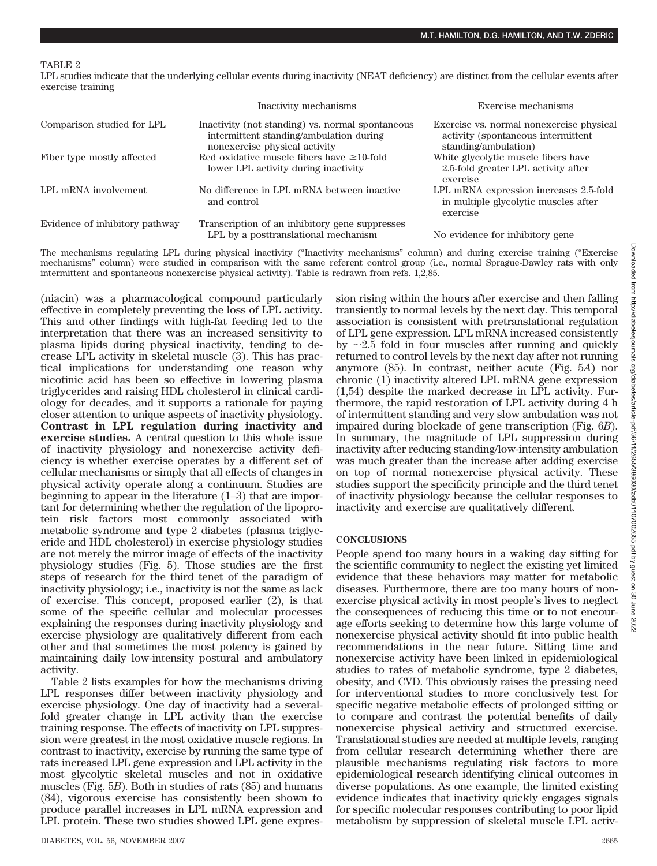TABLE 2

LPL studies indicate that the underlying cellular events during inactivity (NEAT deficiency) are distinct from the cellular events after exercise training

|                                | Inactivity mechanisms                                                                                                        | Exercise mechanisms                                                                                    |
|--------------------------------|------------------------------------------------------------------------------------------------------------------------------|--------------------------------------------------------------------------------------------------------|
| Comparison studied for LPL     | Inactivity (not standing) vs. normal spontaneous<br>intermittent standing/ambulation during<br>nonexercise physical activity | Exercise vs. normal nonexercise physical<br>activity (spontaneous intermittent<br>standing/ambulation) |
| Fiber type mostly affected     | Red oxidative muscle fibers have $\geq 10$ -fold<br>lower LPL activity during inactivity                                     | White glycolytic muscle fibers have<br>2.5-fold greater LPL activity after<br>exercise                 |
| LPL mRNA involvement           | No difference in LPL mRNA between inactive<br>and control                                                                    | LPL mRNA expression increases 2.5-fold<br>in multiple glycolytic muscles after<br>exercise             |
| Evidence of inhibitory pathway | Transcription of an inhibitory gene suppresses<br>LPL by a posttranslational mechanism                                       | No evidence for inhibitory gene                                                                        |

The mechanisms regulating LPL during physical inactivity ("Inactivity mechanisms" column) and during exercise training ("Exercise mechanisms" column) were studied in comparison with the same referent control group (i.e., normal Sprague-Dawley rats with only intermittent and spontaneous nonexercise physical activity). Table is redrawn from refs. 1,2,85.

(niacin) was a pharmacological compound particularly effective in completely preventing the loss of LPL activity. This and other findings with high-fat feeding led to the interpretation that there was an increased sensitivity to plasma lipids during physical inactivity, tending to decrease LPL activity in skeletal muscle (3). This has practical implications for understanding one reason why nicotinic acid has been so effective in lowering plasma triglycerides and raising HDL cholesterol in clinical cardiology for decades, and it supports a rationale for paying closer attention to unique aspects of inactivity physiology. **Contrast in LPL regulation during inactivity and exercise studies.** A central question to this whole issue of inactivity physiology and nonexercise activity deficiency is whether exercise operates by a different set of cellular mechanisms or simply that all effects of changes in physical activity operate along a continuum. Studies are beginning to appear in the literature (1–3) that are important for determining whether the regulation of the lipoprotein risk factors most commonly associated with metabolic syndrome and type 2 diabetes (plasma triglyceride and HDL cholesterol) in exercise physiology studies are not merely the mirror image of effects of the inactivity physiology studies (Fig. 5). Those studies are the first steps of research for the third tenet of the paradigm of inactivity physiology; i.e., inactivity is not the same as lack of exercise. This concept, proposed earlier (2), is that some of the specific cellular and molecular processes explaining the responses during inactivity physiology and exercise physiology are qualitatively different from each other and that sometimes the most potency is gained by maintaining daily low-intensity postural and ambulatory activity.

Table 2 lists examples for how the mechanisms driving LPL responses differ between inactivity physiology and exercise physiology. One day of inactivity had a severalfold greater change in LPL activity than the exercise training response. The effects of inactivity on LPL suppression were greatest in the most oxidative muscle regions. In contrast to inactivity, exercise by running the same type of rats increased LPL gene expression and LPL activity in the most glycolytic skeletal muscles and not in oxidative muscles (Fig. 5*B*). Both in studies of rats (85) and humans (84), vigorous exercise has consistently been shown to produce parallel increases in LPL mRNA expression and LPL protein. These two studies showed LPL gene expression rising within the hours after exercise and then falling transiently to normal levels by the next day. This temporal association is consistent with pretranslational regulation of LPL gene expression. LPL mRNA increased consistently by  $\sim$ 2.5 fold in four muscles after running and quickly returned to control levels by the next day after not running anymore (85). In contrast, neither acute (Fig. 5*A*) nor chronic (1) inactivity altered LPL mRNA gene expression (1,54) despite the marked decrease in LPL activity. Furthermore, the rapid restoration of LPL activity during 4 h of intermittent standing and very slow ambulation was not impaired during blockade of gene transcription (Fig. 6*B*). In summary, the magnitude of LPL suppression during inactivity after reducing standing/low-intensity ambulation was much greater than the increase after adding exercise on top of normal nonexercise physical activity. These studies support the specificity principle and the third tenet of inactivity physiology because the cellular responses to inactivity and exercise are qualitatively different.

### **CONCLUSIONS**

People spend too many hours in a waking day sitting for the scientific community to neglect the existing yet limited evidence that these behaviors may matter for metabolic diseases. Furthermore, there are too many hours of nonexercise physical activity in most people's lives to neglect the consequences of reducing this time or to not encourage efforts seeking to determine how this large volume of nonexercise physical activity should fit into public health recommendations in the near future. Sitting time and nonexercise activity have been linked in epidemiological studies to rates of metabolic syndrome, type 2 diabetes, obesity, and CVD. This obviously raises the pressing need for interventional studies to more conclusively test for specific negative metabolic effects of prolonged sitting or to compare and contrast the potential benefits of daily nonexercise physical activity and structured exercise. Translational studies are needed at multiple levels, ranging from cellular research determining whether there are plausible mechanisms regulating risk factors to more epidemiological research identifying clinical outcomes in diverse populations. As one example, the limited existing evidence indicates that inactivity quickly engages signals for specific molecular responses contributing to poor lipid metabolism by suppression of skeletal muscle LPL activ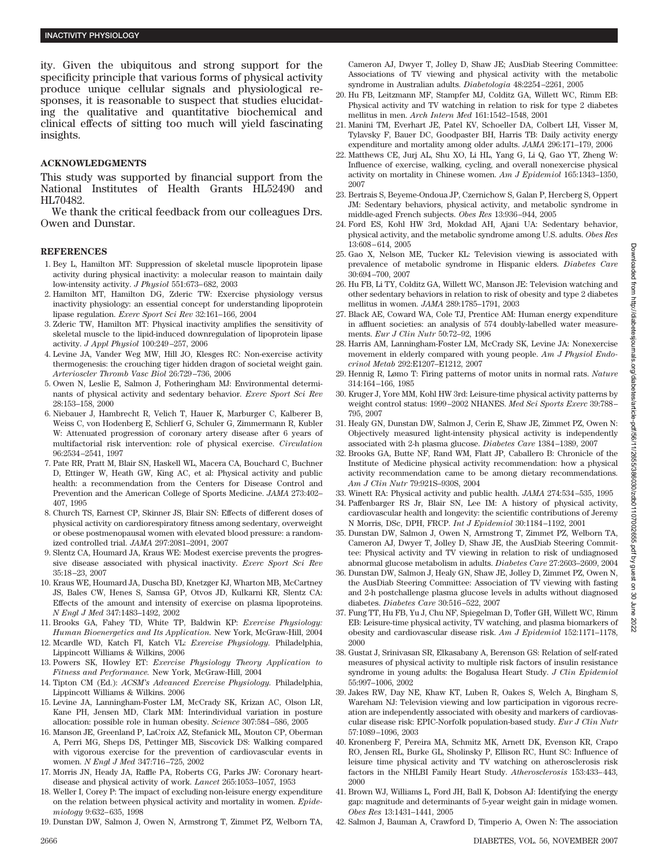ity. Given the ubiquitous and strong support for the specificity principle that various forms of physical activity produce unique cellular signals and physiological responses, it is reasonable to suspect that studies elucidating the qualitative and quantitative biochemical and clinical effects of sitting too much will yield fascinating insights.

#### **ACKNOWLEDGMENTS**

This study was supported by financial support from the National Institutes of Health Grants HL52490 and HL70482.

We thank the critical feedback from our colleagues Drs. Owen and Dunstar.

#### **REFERENCES**

- 1. Bey L, Hamilton MT: Suppression of skeletal muscle lipoprotein lipase activity during physical inactivity: a molecular reason to maintain daily low-intensity activity. *J Physiol* 551:673–682, 2003
- 2. Hamilton MT, Hamilton DG, Zderic TW: Exercise physiology versus inactivity physiology: an essential concept for understanding lipoprotein lipase regulation. *Exerc Sport Sci Rev* 32:161–166, 2004
- 3. Zderic TW, Hamilton MT: Physical inactivity amplifies the sensitivity of skeletal muscle to the lipid-induced downregulation of lipoprotein lipase activity. *J Appl Physiol* 100:249–257, 2006
- 4. Levine JA, Vander Weg MW, Hill JO, Klesges RC: Non-exercise activity thermogenesis: the crouching tiger hidden dragon of societal weight gain. *Arterioscler Thromb Vasc Biol* 26:729–736, 2006
- 5. Owen N, Leslie E, Salmon J, Fotheringham MJ: Environmental determinants of physical activity and sedentary behavior. *Exerc Sport Sci Rev* 28:153–158, 2000
- 6. Niebauer J, Hambrecht R, Velich T, Hauer K, Marburger C, Kalberer B, Weiss C, von Hodenberg E, Schlierf G, Schuler G, Zimmermann R, Kubler W: Attenuated progression of coronary artery disease after 6 years of multifactorial risk intervention: role of physical exercise. *Circulation* 96:2534–2541, 1997
- 7. Pate RR, Pratt M, Blair SN, Haskell WL, Macera CA, Bouchard C, Buchner D, Ettinger W, Heath GW, King AC, et al: Physical activity and public health: a recommendation from the Centers for Disease Control and Prevention and the American College of Sports Medicine. *JAMA* 273:402– 407, 1995
- 8. Church TS, Earnest CP, Skinner JS, Blair SN: Effects of different doses of physical activity on cardiorespiratory fitness among sedentary, overweight or obese postmenopausal women with elevated blood pressure: a randomized controlled trial. *JAMA* 297:2081–2091, 2007
- 9. Slentz CA, Houmard JA, Kraus WE: Modest exercise prevents the progressive disease associated with physical inactivity. *Exerc Sport Sci Rev* 35:18–23, 2007
- 10. Kraus WE, Houmard JA, Duscha BD, Knetzger KJ, Wharton MB, McCartney JS, Bales CW, Henes S, Samsa GP, Otvos JD, Kulkarni KR, Slentz CA: Effects of the amount and intensity of exercise on plasma lipoproteins. *N Engl J Med* 347:1483–1492, 2002
- 11. Brooks GA, Fahey TD, White TP, Baldwin KP: *Exercise Physiology: Human Bioenergetics and Its Application.* New York, McGraw-Hill, 2004
- 12. Mcardle WD, Katch FI, Katch VL: *Exercise Physiology.* Philadelphia, Lippincott Williams & Wilkins, 2006
- 13. Powers SK, Howley ET: *Exercise Physiology Theory Application to Fitness and Performance.* New York, McGraw-Hill, 2004
- 14. Tipton CM (Ed.): *ACSM's Advanced Exercise Physiology.* Philadelphia, Lippincott Williams & Wilkins. 2006
- 15. Levine JA, Lanningham-Foster LM, McCrady SK, Krizan AC, Olson LR, Kane PH, Jensen MD, Clark MM: Interindividual variation in posture allocation: possible role in human obesity. *Science* 307:584–586, 2005
- 16. Manson JE, Greenland P, LaCroix AZ, Stefanick ML, Mouton CP, Oberman A, Perri MG, Sheps DS, Pettinger MB, Siscovick DS: Walking compared with vigorous exercise for the prevention of cardiovascular events in women. *N Engl J Med* 347:716–725, 2002
- 17. Morris JN, Heady JA, Raffle PA, Roberts CG, Parks JW: Coronary heartdisease and physical activity of work. *Lancet* 265:1053–1057, 1953
- 18. Weller I, Corey P: The impact of excluding non-leisure energy expenditure on the relation between physical activity and mortality in women. *Epidemiology* 9:632–635, 1998
- 19. Dunstan DW, Salmon J, Owen N, Armstrong T, Zimmet PZ, Welborn TA,

Cameron AJ, Dwyer T, Jolley D, Shaw JE; AusDiab Steering Committee: Associations of TV viewing and physical activity with the metabolic syndrome in Australian adults. *Diabetologia* 48:2254–2261, 2005

- 20. Hu FB, Leitzmann MF, Stampfer MJ, Colditz GA, Willett WC, Rimm EB: Physical activity and TV watching in relation to risk for type 2 diabetes mellitus in men. *Arch Intern Med* 161:1542–1548, 2001
- 21. Manini TM, Everhart JE, Patel KV, Schoeller DA, Colbert LH, Visser M, Tylavsky F, Bauer DC, Goodpaster BH, Harris TB: Daily activity energy expenditure and mortality among older adults. *JAMA* 296:171–179, 2006
- 22. Matthews CE, Jurj AL, Shu XO, Li HL, Yang G, Li Q, Gao YT, Zheng W: Influence of exercise, walking, cycling, and overall nonexercise physical activity on mortality in Chinese women. *Am J Epidemiol* 165:1343–1350, 2007
- 23. Bertrais S, Beyeme-Ondoua JP, Czernichow S, Galan P, Hercberg S, Oppert JM: Sedentary behaviors, physical activity, and metabolic syndrome in middle-aged French subjects. *Obes Res* 13:936–944, 2005
- 24. Ford ES, Kohl HW 3rd, Mokdad AH, Ajani UA: Sedentary behavior, physical activity, and the metabolic syndrome among U.S. adults. *Obes Res* 13:608–614, 2005
- 25. Gao X, Nelson ME, Tucker KL: Television viewing is associated with prevalence of metabolic syndrome in Hispanic elders. *Diabetes Care* 30:694–700, 2007
- 26. Hu FB, Li TY, Colditz GA, Willett WC, Manson JE: Television watching and other sedentary behaviors in relation to risk of obesity and type 2 diabetes mellitus in women. *JAMA* 289:1785–1791, 2003
- 27. Black AE, Coward WA, Cole TJ, Prentice AM: Human energy expenditure in affluent societies: an analysis of 574 doubly-labelled water measurements. *Eur J Clin Nutr* 50:72–92, 1996
- 28. Harris AM, Lanningham-Foster LM, McCrady SK, Levine JA: Nonexercise movement in elderly compared with young people. *Am J Physiol Endocrinol Metab* 292:E1207–E1212, 2007
- 29. Hennig R, Lømo T: Firing patterns of motor units in normal rats. *Nature* 314:164–166, 1985
- 30. Kruger J, Yore MM, Kohl HW 3rd: Leisure-time physical activity patterns by weight control status: 1999–2002 NHANES. *Med Sci Sports Exerc* 39:788– 795, 2007
- 31. Healy GN, Dunstan DW, Salmon J, Cerin E, Shaw JE, Zimmet PZ, Owen N: Objectively measured light-intensity physical activity is independently associated with 2-h plasma glucose. *Diabetes Care* 1384–1389, 2007
- 32. Brooks GA, Butte NF, Rand WM, Flatt JP, Caballero B: Chronicle of the Institute of Medicine physical activity recommendation: how a physical activity recommendation came to be among dietary recommendations. *Am J Clin Nutr* 79:921S–930S, 2004
- 33. Winett RA: Physical activity and public health. *JAMA* 274:534–535, 1995
- 34. Paffenbarger RS Jr, Blair SN, Lee IM: A history of physical activity, cardiovascular health and longevity: the scientific contributions of Jeremy N Morris, DSc, DPH, FRCP. *Int J Epidemiol* 30:1184–1192, 2001
- 35. Dunstan DW, Salmon J, Owen N, Armstrong T, Zimmet PZ, Welborn TA, Cameron AJ, Dwyer T, Jolley D, Shaw JE, the AusDiab Steering Committee: Physical activity and TV viewing in relation to risk of undiagnosed abnormal glucose metabolism in adults. *Diabetes Care* 27:2603–2609, 2004
- 36. Dunstan DW, Salmon J, Healy GN, Shaw JE, Jolley D, Zimmet PZ, Owen N, the AusDiab Steering Committee: Association of TV viewing with fasting and 2-h postchallenge plasma glucose levels in adults without diagnosed diabetes. *Diabetes Care* 30:516–522, 2007
- 37. Fung TT, Hu FB, Yu J, Chu NF, Spiegelman D, Tofler GH, Willett WC, Rimm EB: Leisure-time physical activity, TV watching, and plasma biomarkers of obesity and cardiovascular disease risk. *Am J Epidemiol* 152:1171–1178, 2000
- 38. Gustat J, Srinivasan SR, Elkasabany A, Berenson GS: Relation of self-rated measures of physical activity to multiple risk factors of insulin resistance syndrome in young adults: the Bogalusa Heart Study. *J Clin Epidemiol* 55:997–1006, 2002
- 39. Jakes RW, Day NE, Khaw KT, Luben R, Oakes S, Welch A, Bingham S, Wareham NJ: Television viewing and low participation in vigorous recreation are independently associated with obesity and markers of cardiovascular disease risk: EPIC-Norfolk population-based study. *Eur J Clin Nutr* 57:1089–1096, 2003
- 40. Kronenberg F, Pereira MA, Schmitz MK, Arnett DK, Evenson KR, Crapo RO, Jensen RL, Burke GL, Sholinsky P, Ellison RC, Hunt SC: Influence of leisure time physical activity and TV watching on atherosclerosis risk factors in the NHLBI Family Heart Study. *Atherosclerosis* 153:433–443, 2000
- 41. Brown WJ, Williams L, Ford JH, Ball K, Dobson AJ: Identifying the energy gap: magnitude and determinants of 5-year weight gain in midage women. *Obes Res* 13:1431–1441, 2005
- 42. Salmon J, Bauman A, Crawford D, Timperio A, Owen N: The association